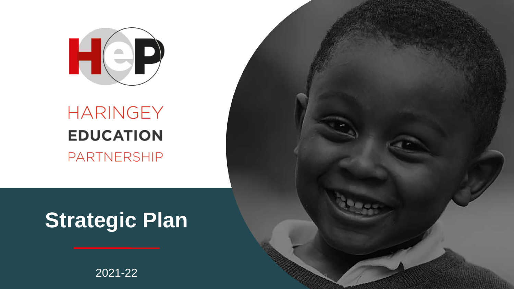

# HARINGEY **EDUCATION** PARTNERSHIP

# **Strategic Plan**

### 2021-22

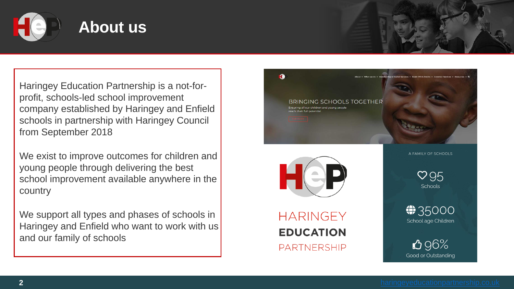**2** [haringeyeducationpartnership.co.uk](http://www.haringeyeducationpartnership.co.uk)

![](_page_1_Picture_14.jpeg)

![](_page_1_Picture_0.jpeg)

### **About us**

We exist to improve outcomes for children and young people through delivering the best school improvement available anywhere in the **country** 

Haringey Education Partnership is a not-forprofit, schools-led school improvement company established by Haringey and Enfield schools in partnership with Haringey Council from September 2018

We support all types and phases of schools in Haringey and Enfield who want to work with us and our family of schools

![](_page_1_Picture_6.jpeg)

![](_page_1_Picture_7.jpeg)

### **HARINGEY EDUCATION PARTNERSHIP**

A FAMILY OF SCHOOLS

 $\heartsuit$  95 Schools

 $\bigoplus$  35000 School age Children

096% Good or Outstanding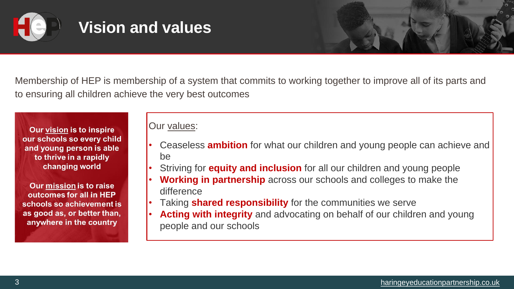![](_page_2_Picture_0.jpeg)

### **Vision and values**

![](_page_2_Figure_17.jpeg)

![](_page_2_Picture_18.jpeg)

Membership of HEP is membership of a system that commits to working together to improve all of its parts and to ensuring all children achieve the very best outcomes

Our vision is to inspire our schools so every child and young person is able to thrive in a rapidly changing world

Our mission is to raise outcomes for all in HEP schools so achievement is as good as, or better than, anywhere in the country

### Our values:

• Ceaseless **ambition** for what our children and young people can achieve and

• Striving for **equity and inclusion** for all our children and young people • **Working in partnership** across our schools and colleges to make the

- be
- 
- difference
- 
- people and our schools

![](_page_2_Picture_12.jpeg)

• Taking **shared responsibility** for the communities we serve • **Acting with integrity** and advocating on behalf of our children and young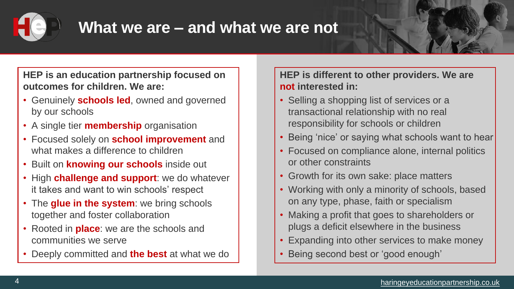![](_page_3_Picture_0.jpeg)

### **What we are – and what we are not**

![](_page_3_Picture_22.jpeg)

![](_page_3_Picture_23.jpeg)

![](_page_3_Picture_28.jpeg)

**HEP is an education partnership focused on outcomes for children. We are:**

- Genuinely **schools led**, owned and governed by our schools
- A single tier **membership** organisation
- Focused solely on **school improvement** and what makes a difference to children
- Built on **knowing our schools** inside out
- High **challenge and support**: we do whatever it takes and want to win schools' respect
- The **glue in the system**: we bring schools together and foster collaboration
- Rooted in **place**: we are the schools and communities we serve
- Deeply committed and **the best** at what we do

**HEP is different to other providers. We are not interested in:**

- Selling a shopping list of services or a transactional relationship with no real responsibility for schools or children
- Being 'nice' or saying what schools want to hear
- Focused on compliance alone, internal politics or other constraints
- Growth for its own sake: place matters
- Working with only a minority of schools, based on any type, phase, faith or specialism
- Making a profit that goes to shareholders or plugs a deficit elsewhere in the business
- Expanding into other services to make money
- Being second best or 'good enough'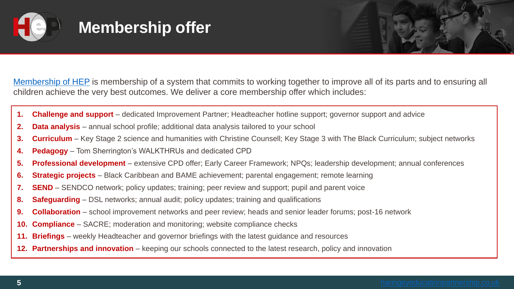![](_page_4_Picture_23.jpeg)

![](_page_4_Picture_0.jpeg)

# **Membership offer**

[Membership of HEP](https://haringeyeducationpartnership.co.uk/membership/) is membership of a system that commits to working together to improve all of its parts and to ensuring all

- **1. Challenge and support** dedicated Improvement Partner; Headteacher hotline support; governor support and advice
- **2. Data analysis**  annual school profile; additional data analysis tailored to your school
- **3. Curriculum** Key Stage 2 science and humanities with Christine Counsell; Key Stage 3 with The Black Curriculum; subject networks
- **4. Pedagogy** Tom Sherrington's WALKTHRUs and dedicated CPD
- **5. Professional development** extensive CPD offer; Early Career Framework; NPQs; leadership development; annual conferences
- **6. Strategic projects** Black Caribbean and BAME achievement; parental engagement; remote learning
- **7. SEND** SENDCO network; policy updates; training; peer review and support; pupil and parent voice
- **8. Safeguarding** DSL networks; annual audit; policy updates; training and qualifications
- **9. Collaboration** school improvement networks and peer review; heads and senior leader forums; post-16 network
- **10. Compliance** SACRE; moderation and monitoring; website compliance checks
- **11. Briefings** weekly Headteacher and governor briefings with the latest guidance and resources
- **12. Partnerships and innovation** keeping our schools connected to the latest research, policy and innovation

![](_page_4_Picture_16.jpeg)

children achieve the very best outcomes. We deliver a core membership offer which includes: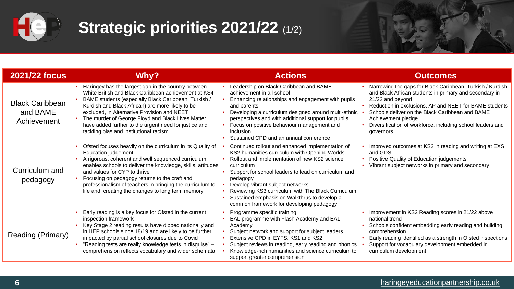![](_page_5_Picture_0.jpeg)

# **Strategic priorities 2021/22** (1/2)

### **6** [haringeyeducationpartnership.co.uk](http://www.haringeyeducationpartnership.co.uk)

![](_page_5_Picture_33.jpeg)

![](_page_5_Figure_34.jpeg)

![](_page_5_Picture_35.jpeg)

| <b>2021/22 focus</b>                              | <b>Why?</b>                                                                                                                                                                                                                                                                                                                                                                                                                    | <b>Actions</b>                                                                                                                                                                                                                                                                                                                                                                                                             | <b>Outcomes</b>                                                                                                                                                                                                                                                       |
|---------------------------------------------------|--------------------------------------------------------------------------------------------------------------------------------------------------------------------------------------------------------------------------------------------------------------------------------------------------------------------------------------------------------------------------------------------------------------------------------|----------------------------------------------------------------------------------------------------------------------------------------------------------------------------------------------------------------------------------------------------------------------------------------------------------------------------------------------------------------------------------------------------------------------------|-----------------------------------------------------------------------------------------------------------------------------------------------------------------------------------------------------------------------------------------------------------------------|
| <b>Black Caribbean</b><br>and BAME<br>Achievement | Haringey has the largest gap in the country between<br>White British and Black Caribbean achievement at KS4<br>BAME students (especially Black Caribbean, Turkish /<br>Kurdish and Black African) are more likely to be<br>excluded, in Alternative Provision and NEET<br>The murder of George Floyd and Black Lives Matter<br>have added further to the urgent need for justice and<br>tackling bias and institutional racism | Leadership on Black Caribbean and BAME<br>achievement in all school<br>Enhancing relationships and engagement with pupils<br>and parents<br>Developing a curriculum designed around multi-ethnic<br>perspectives and with additional support for pupils<br>Focus on positive behaviour management and<br><i>inclusion</i><br>Sustained CPD and an annual conference                                                        | Narrowing the gaps for Black Caribbe<br>and Black African students in primary<br>21/22 and beyond<br>Reduction in exclusions, AP and NEI<br><b>Schools deliver on the Black Caribbe</b><br>Achievement pledge<br>Diversification of workforce, including<br>governors |
| <b>Curriculum and</b><br>pedagogy                 | Ofsted focuses heavily on the curriculum in its Quality of<br><b>Education judgement</b><br>A rigorous, coherent and well sequenced curriculum<br>enables schools to deliver the knowledge, skills, attitudes<br>and values for CYP to thrive<br>Focusing on pedagogy returns to the craft and<br>professionalism of teachers in bringing the curriculum to<br>life and, creating the changes to long term memory              | Continued rollout and enhanced implementation of<br>KS2 humanities curriculum with Opening Worlds<br>Rollout and implementation of new KS2 science<br>curriculum<br>Support for school leaders to lead on curriculum and<br>pedagogy<br>Develop vibrant subject networks<br>Reviewing KS3 curriculum with The Black Curriculum<br>Sustained emphasis on Walkthrus to develop a<br>common framework for developing pedagogy | Improved outcomes at KS2 in reading<br>and GDS<br><b>Positive Quality of Education judgem</b><br>Vibrant subject networks in primary a                                                                                                                                |
| <b>Reading (Primary)</b>                          | Early reading is a key focus for Ofsted in the current<br>inspection framework<br>Key Stage 2 reading results have dipped nationally and<br>in HEP schools since 18/19 and are likely to be further<br>impacted by partial school closures due to Covid<br>"Reading tests are really knowledge tests in disguise" -<br>comprehension reflects vocabulary and wider schemata                                                    | Programme specific training<br>EAL programme with Flash Academy and EAL<br>Academy<br>Subject network and support for subject leaders<br>Extensive CPD in EYFS, KS1 and KS2<br>Subject reviews in reading, early reading and phonics<br>Knowledge-rich humanities and science curriculum to<br>support greater comprehension                                                                                               | Improvement in KS2 Reading scores<br>national trend<br>Schools confident embedding early re<br>comprehension<br>Early reading identified as a strength<br>Support for vocabulary development<br>curriculum development                                                |

- dership on Black Caribbean and BAME ievement in all school
- ancing relationships and engagement with pupils parents
- reloping a curriculum designed around multi-ethnic  $\cdot$ spectives and with additional support for pupils
- us on positive behaviour management and usion
- tained CPD and an annual conference
- itinued rollout and enhanced implementation of humanities curriculum with Opening Worlds out and implementation of new KS2 science iculum
- port for school leaders to lead on curriculum and agogy
- elop vibrant subject networks
- riewing KS3 curriculum with The Black Curriculum
- tained emphasis on Walkthrus to develop a
- imon framework for developing pedagogy
- gramme specific training
- programme with Flash Academy and EAL demy
- ject network and support for subject leaders ensive CPD in EYFS, KS1 and KS2
- ject reviews in reading, early reading and phonics wledge-rich humanities and science curriculum to port greater comprehension

- Narrowing the gaps for Black Caribbean, Turkish / Kurdish and Black African students in primary and secondary in 21/22 and beyond
- Reduction in exclusions, AP and NEET for BAME students
- Schools deliver on the Black Caribbean and BAME Achievement pledge
- Diversification of workforce, including school leaders and governors
- Improved outcomes at KS2 in reading and writing at EXS and GDS
- Positive Quality of Education judgements
- Vibrant subject networks in primary and secondary

- Improvement in KS2 Reading scores in 21/22 above national trend
- Schools confident embedding early reading and building comprehension
- Early reading identified as a strength in Ofsted inspections
- Support for vocabulary development embedded in curriculum development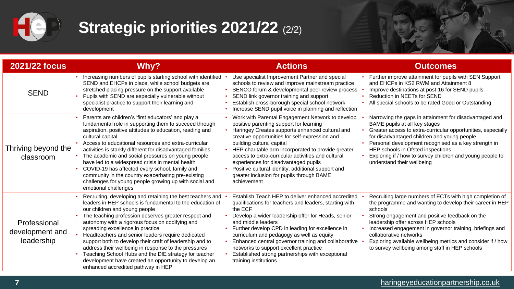![](_page_6_Picture_0.jpeg)

# **Strategic priorities 2021/22** (2/2)

| <b>2021/22 focus</b>                          | <b>Why?</b>                                                                                                                                                                                                                                                                                                                                                                                                                                                                                                                                                                                                                              | <b>Actions</b>                                                                                                                                                                                                                                                                                                                                                                                                                                                                                      | <b>Outcomes</b>                                                                                                                                                                                                                                                                                                                                                                                     |
|-----------------------------------------------|------------------------------------------------------------------------------------------------------------------------------------------------------------------------------------------------------------------------------------------------------------------------------------------------------------------------------------------------------------------------------------------------------------------------------------------------------------------------------------------------------------------------------------------------------------------------------------------------------------------------------------------|-----------------------------------------------------------------------------------------------------------------------------------------------------------------------------------------------------------------------------------------------------------------------------------------------------------------------------------------------------------------------------------------------------------------------------------------------------------------------------------------------------|-----------------------------------------------------------------------------------------------------------------------------------------------------------------------------------------------------------------------------------------------------------------------------------------------------------------------------------------------------------------------------------------------------|
| <b>SEND</b>                                   | Increasing numbers of pupils starting school with identified<br>SEND and EHCPs in place, while school budgets are<br>stretched placing pressure on the support available<br>Pupils with SEND are especially vulnerable without<br>specialist practice to support their learning and<br>development                                                                                                                                                                                                                                                                                                                                       | Use specialist Improvement Partner and special<br>schools to review and improve mainstream practice<br>SENCO forum & developmental peer review process<br>SEND link governor training and support<br>Establish cross-borough special school network<br>Increase SEND pupil voice in planning and reflection                                                                                                                                                                                         | Further improve attainment for pupils with SEN Sup<br>and EHCPs in KS2 RWM and Attainment 8<br>Improve destinations at post-16 for SEND pupils<br><b>Reduction in NEETs for SEND</b><br>All special schools to be rated Good or Outstanding                                                                                                                                                         |
| Thriving beyond the<br>classroom              | • Parents are children's 'first educators' and play a<br>fundamental role in supporting them to succeed through<br>aspiration, positive attitudes to education, reading and<br>cultural capital<br>Access to educational resources and extra-curricular<br>activities is starkly different for disadvantaged families<br>The academic and social pressures on young people<br>have led to a widespread crisis in mental health<br>COVID-19 has affected every school, family and<br>community in the country exacerbating pre-existing<br>challenges for young people growing up with social and<br>emotional challenges                 | Work with Parental Engagement Network to develop<br>positive parenting support for learning<br>Haringey Creates supports enhanced cultural and<br>creative opportunities for self-expression and<br>building cultural capital<br>HEP charitable arm incorporated to provide greater<br>access to extra-curricular activities and cultural<br>experiences for disadvantaged pupils<br>Positive cultural identity, additional support and<br>greater inclusion for pupils through BAME<br>achievement | Narrowing the gaps in attainment for disadvantaged<br>BAME pupils at all key stages<br>Greater access to extra-curricular opportunities, esponent<br>for disadvantaged children and young people<br>Personal development recognised as a key strength<br>HEP schools in Ofsted inspections<br>Exploring if / how to survey children and young peop<br>understand their wellbeing                    |
| Professional<br>development and<br>leadership | Recruiting, developing and retaining the best teachers and<br>leaders in HEP schools is fundamental to the education of<br>our children and young people<br>The teaching profession deserves greater respect and<br>autonomy with a rigorous focus on codifying and<br>spreading excellence in practice<br>Headteachers and senior leaders require dedicated<br>support both to develop their craft of leadership and to<br>address their wellbeing in response to the pressures<br>Teaching School Hubs and the DfE strategy for teacher<br>development have created an opportunity to develop an<br>enhanced accredited pathway in HEP | Establish Teach HEP to deliver enhanced accredited<br>qualifications for teachers and leaders, starting with<br>the ECF<br>Develop a wider leadership offer for Heads, senior<br>and middle leaders<br>Further develop CPD in leading for excellence in<br>curriculum and pedagogy as well as equity<br>Enhanced central governor training and collaborative<br>networks to support excellent practice<br>Established strong partnerships with exceptional<br>training institutions                 | Recruiting large numbers of ECTs with high comple<br>the programme and wanting to develop their career<br>schools<br>Strong engagement and positive feedback on the<br>leadership offer across HEP schools<br>Increased engagement in governor training, briefing<br>collaborative networks<br>Exploring available wellbeing metrics and consider<br>to survey wellbeing among staff in HEP schools |

![](_page_6_Figure_7.jpeg)

![](_page_6_Figure_8.jpeg)

![](_page_6_Picture_9.jpeg)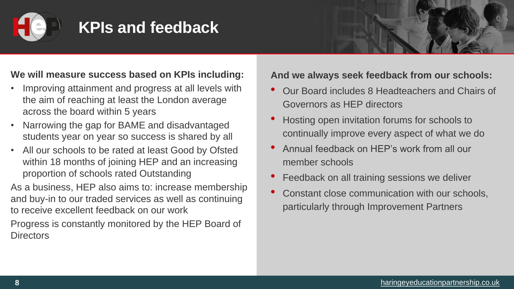![](_page_7_Picture_0.jpeg)

# **KPIs and feedback**

![](_page_7_Picture_16.jpeg)

![](_page_7_Figure_17.jpeg)

![](_page_7_Picture_18.jpeg)

![](_page_7_Picture_19.jpeg)

![](_page_7_Picture_20.jpeg)

![](_page_7_Picture_21.jpeg)

![](_page_7_Picture_22.jpeg)

![](_page_7_Picture_23.jpeg)

![](_page_7_Picture_24.jpeg)

### **We will measure success based on KPIs including:**

- Improving attainment and progress at all levels with the aim of reaching at least the London average across the board within 5 years
- Narrowing the gap for BAME and disadvantaged students year on year so success is shared by all
- All our schools to be rated at least Good by Ofsted within 18 months of joining HEP and an increasing proportion of schools rated Outstanding

Progress is constantly monitored by the HEP Board of **Directors** 

As a business, HEP also aims to: increase membership and buy-in to our traded services as well as continuing to receive excellent feedback on our work

### **And we always seek feedback from our schools:**

- Our Board includes 8 Headteachers and Chairs of Governors as HEP directors
- Hosting open invitation forums for schools to continually improve every aspect of what we do
- Annual feedback on HEP's work from all our member schools
- Feedback on all training sessions we deliver
- Constant close communication with our schools, particularly through Improvement Partners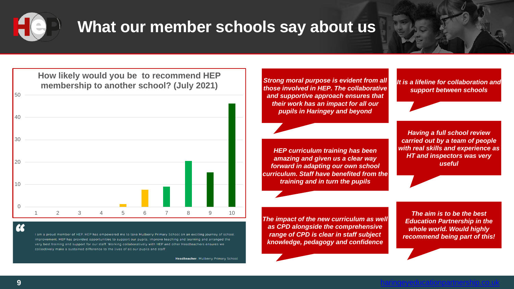![](_page_8_Picture_14.jpeg)

![](_page_8_Picture_15.jpeg)

![](_page_8_Picture_16.jpeg)

![](_page_8_Picture_17.jpeg)

![](_page_8_Picture_0.jpeg)

### **What our member schools say about us**

*The aim is to be the best Education Partnership in the whole world. Would highly recommend being part of this!*

*The impact of the new curriculum as well as CPD alongside the comprehensive range of CPD is clear in staff subject knowledge, pedagogy and confidence*

*HEP curriculum training has been amazing and given us a clear way forward in adapting our own school curriculum. Staff have benefited from the training and in turn the pupils*

*It is a lifeline for collaboration and support between schools*

*Strong moral purpose is evident from all those involved in HEP. The collaborative and supportive approach ensures that their work has an impact for all our pupils in Haringey and beyond*

> *Having a full school review carried out by a team of people with real skills and experience as HT and inspectors was very useful*

![](_page_8_Figure_2.jpeg)

 $\alpha$ 

I am a proud member of HEP. HEP has empowered me to take Mulberry Primary School on an exciting journey of school improvement. HEP has provided opportunities to support our pupils, improve teaching and learning and arranged the very best training and support for our staff. Working collaboratively with HEP and other Headteachers ensures we collectively make a sustained difference to the lives of all our pupils and staff

Headteacher, Mulberry Primary School